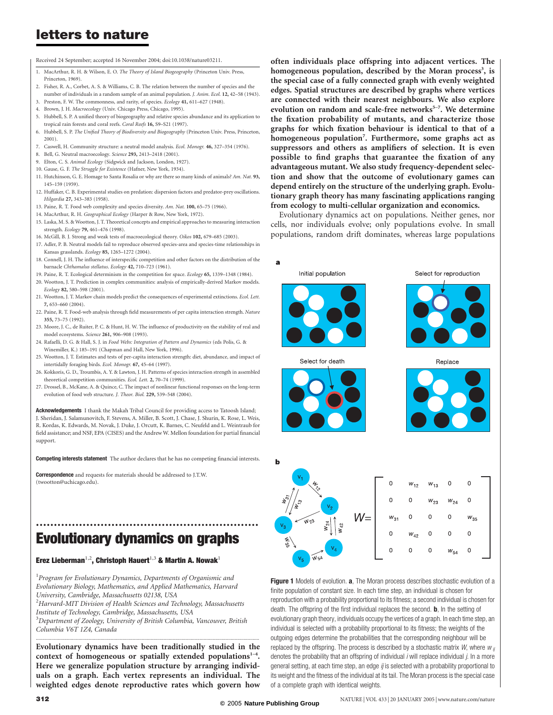Received 24 September; accepted 16 November 2004; doi:10.1038/nature03211.

- MacArthur, R. H. & Wilson, E. O. The Theory of Island Biogeography (Princeton Univ. Press Princeton, 1969).
- 2. Fisher, R. A., Corbet, A. S. & Williams, C. B. The relation between the number of species and the number of individuals in a random sample of an animal population. J. Anim. Ecol. 12, 42–58 (1943).
- 3. Preston, F. W. The commonness, and rarity, of species. Ecology 41, 611–627 (1948).
- 4. Brown, J. H. Macroecology (Univ. Chicago Press, Chicago, 1995).
- 5. Hubbell, S. P. A unified theory of biogeography and relative species abundance and its application to tropical rain forests and coral reefs. Coral Reefs 16, S9–S21 (1997).
- 6. Hubbell, S. P. The Unified Theory of Biodiversity and Biogeography (Princeton Univ. Press, Princeton, 2001).
- 7. Caswell, H. Community structure: a neutral model analysis. Ecol. Monogr. 46, 327–354 (1976).
- 8. Bell, G. Neutral macroecology. Science 293, 2413–2418 (2001).
- 9. Elton, C. S. Animal Ecology (Sidgwick and Jackson, London, 1927).
- 10. Gause, G. F. The Struggle for Existence (Hafner, New York, 1934). 11. Hutchinson, G. E. Homage to Santa Rosalia or why are there so many kinds of animals? Am. Nat. 93, 145–159 (1959).
- 12. Huffaker, C. B. Experimental studies on predation: dispersion factors and predator-prey oscillations. Hilgardia 27, 343–383 (1958).
- 13. Paine, R. T. Food web complexity and species diversity. Am. Nat. 100, 65–75 (1966).
- 14. MacArthur, R. H. Geographical Ecology (Harper & Row, New York, 1972).
- 15. Laska, M. S. & Wootton, J. T. Theoretical concepts and empirical approaches to measuring interaction strength. Ecology 79, 461–476 (1998).
- 16. McGill, B. J. Strong and weak tests of macroecological theory. Oikos 102, 679–685 (2003). 17. Adler, P. B. Neutral models fail to reproduce observed species-area and species-time relationships in
- Kansas grasslands. Ecology 85, 1265–1272 (2004). 18. Connell, J. H. The influence of interspecific competition and other factors on the distribution of the
- barnacle Chthamalus stellatus. Ecology 42, 710–723 (1961).
- 19. Paine, R. T. Ecological determinism in the competition for space. Ecology 65, 1339–1348 (1984).
- 20. Wootton, J. T. Prediction in complex communities: analysis of empirically-derived Markov models. Ecology 82, 580–598 (2001).
- 21. Wootton, J. T. Markov chain models predict the consequences of experimental extinctions. Ecol. Lett. 7, 653–660 (2004).
- 22. Paine, R. T. Food-web analysis through field measurements of per capita interaction strength. Nature 355, 73–75 (1992).
- 23. Moore, J. C., de Ruiter, P. C. & Hunt, H. W. The influence of productivity on the stability of real and model ecosystems. Science 261, 906–908 (1993).
- 24. Rafaelli, D. G. & Hall, S. J. in Food Webs: Integration of Pattern and Dynamics (eds Polis, G. & Winemiller, K.) 185–191 (Chapman and Hall, New York, 1996).
- 25. Wootton, J. T. Estimates and tests of per-capita interaction strength: diet, abundance, and impact of intertidally foraging birds. Ecol. Monogr. 67, 45–64 (1997).
- 26. Kokkoris, G. D., Troumbis, A. Y. & Lawton, J. H. Patterns of species interaction strength in assembled theoretical competition communities. Ecol. Lett. 2, 70–74 (1999).
- 27. Drossel, B., McKane, A. & Quince, C. The impact of nonlinear functional responses on the long-term evolution of food web structure. J. Theor. Biol. 229, 539–548 (2004).

Acknowledgements I thank the Makah Tribal Council for providing access to Tatoosh Island; J. Sheridan, J. Salamunovitch, F. Stevens, A. Miller, B. Scott, J. Chase, J. Shurin, K. Rose, L. Weis, R. Kordas, K. Edwards, M. Novak, J. Duke, J. Orcutt, K. Barnes, C. Neufeld and L. Weintraub for field assistance; and NSF, EPA (CISES) and the Andrew W. Mellon foundation for partial financial support.

Competing interests statement The author declares that he has no competing financial interests.

Correspondence and requests for materials should be addressed to J.T.W. (twootton@uchicago.edu).

# .............................................................. Evolutionary dynamics on graphs

#### Erez Lieberman<sup>1,2</sup>, Christoph Hauert<sup>1,3</sup> & Martin A. Nowak<sup>1</sup>

 $^{\rm 1}$ Program for Evolutionary Dynamics, Departments of Organismic and Evolutionary Biology, Mathematics, and Applied Mathematics, Harvard University, Cambridge, Massachusetts 02138, USA

 $^2$ Harvard-MIT Division of Health Sciences and Technology, Massachusetts Institute of Technology, Cambridge, Massachusetts, USA

 $^3$ Department of Zoology, University of British Columbia, Vancouver, British

Columbia V6T 1Z4, Canada

Evolutionary dynamics have been traditionally studied in the context of homogeneous or spatially extended populations $1-4$ . Here we generalize population structure by arranging individuals on a graph. Each vertex represents an individual. The weighted edges denote reproductive rates which govern how

.............................................................................................................................................................................

often individuals place offspring into adjacent vertices. The homogeneous population, described by the Moran process<sup>3</sup>, is the special case of a fully connected graph with evenly weighted edges. Spatial structures are described by graphs where vertices are connected with their nearest neighbours. We also explore evolution on random and scale-free networks<sup>5-7</sup>. We determine the fixation probability of mutants, and characterize those graphs for which fixation behaviour is identical to that of a homogeneous population<sup>7</sup>. Furthermore, some graphs act as suppressors and others as amplifiers of selection. It is even possible to find graphs that guarantee the fixation of any advantageous mutant. We also study frequency-dependent selection and show that the outcome of evolutionary games can depend entirely on the structure of the underlying graph. Evolutionary graph theory has many fascinating applications ranging from ecology to multi-cellular organization and economics.

Evolutionary dynamics act on populations. Neither genes, nor cells, nor individuals evolve; only populations evolve. In small populations, random drift dominates, whereas large populations



Figure 1 Models of evolution. a, The Moran process describes stochastic evolution of a finite population of constant size. In each time step, an individual is chosen for reproduction with a probability proportional to its fitness; a second individual is chosen for death. The offspring of the first individual replaces the second. **b**, In the setting of evolutionary graph theory, individuals occupy the vertices of a graph. In each time step, an individual is selected with a probability proportional to its fitness; the weights of the outgoing edges determine the probabilities that the corresponding neighbour will be replaced by the offspring. The process is described by a stochastic matrix W, where  $w_{ij}$ denotes the probability that an offspring of individual  $i$  will replace individual  $j$ . In a more general setting, at each time step, an edge ij is selected with a probability proportional to its weight and the fitness of the individual at its tail. The Moran process is the special case of a complete graph with identical weights.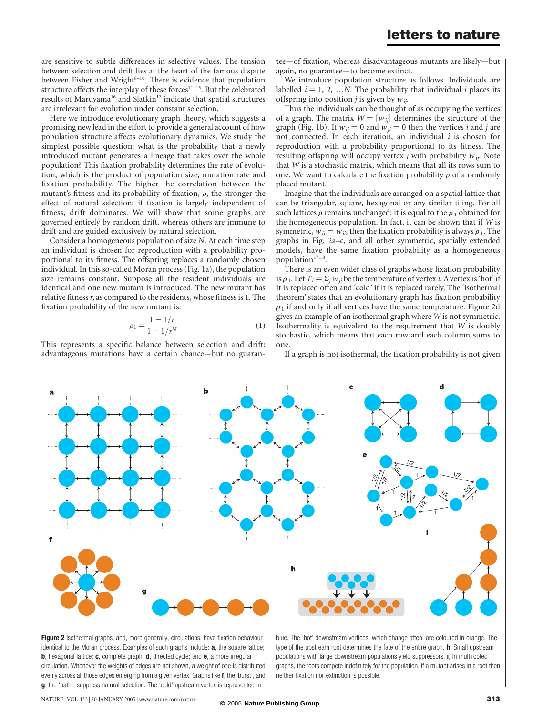are sensitive to subtle differences in selective values. The tension between selection and drift lies at the heart of the famous dispute between Fisher and Wright<sup>8-10</sup>. There is evidence that population structure affects the interplay of these forces<sup>11-15</sup>. But the celebrated results of Maruyama<sup>16</sup> and Slatkin<sup>17</sup> indicate that spatial structures are irrelevant for evolution under constant selection.

Here we introduce evolutionary graph theory, which suggests a promising new lead in the effort to provide a general account of how population structure affects evolutionary dynamics. We study the simplest possible question: what is the probability that a newly introduced mutant generates a lineage that takes over the whole population? This fixation probability determines the rate of evolution, which is the product of population size, mutation rate and fixation probability. The higher the correlation between the mutant's fitness and its probability of fixation,  $\rho$ , the stronger the effect of natural selection; if fixation is largely independent of fitness, drift dominates. We will show that some graphs are governed entirely by random drift, whereas others are immune to drift and are guided exclusively by natural selection.

Consider a homogeneous population of size N. At each time step an individual is chosen for reproduction with a probability proportional to its fitness. The offspring replaces a randomly chosen individual. In this so-called Moran process (Fig. 1a), the population size remains constant. Suppose all the resident individuals are identical and one new mutant is introduced. The new mutant has relative fitness r, as compared to the residents, whose fitness is 1. The fixation probability of the new mutant is:

$$
\rho_1 = \frac{1 - 1/r}{1 - 1/r^N} \tag{1}
$$

This represents a specific balance between selection and drift: advantageous mutations have a certain chance—but no guaran-

tee—of fixation, whereas disadvantageous mutants are likely—but again, no guarantee—to become extinct.

We introduce population structure as follows. Individuals are labelled  $i = 1, 2, ...N$ . The probability that individual i places its offspring into position *j* is given by  $w_{ii}$ .

Thus the individuals can be thought of as occupying the vertices of a graph. The matrix  $W = [w_{ij}]$  determines the structure of the graph (Fig. 1b). If  $w_{ij} = 0$  and  $w_{ji} = 0$  then the vertices *i* and *j* are not connected. In each iteration, an individual  $i$  is chosen for reproduction with a probability proportional to its fitness. The resulting offspring will occupy vertex *j* with probability  $w_{ij}$ . Note that W is a stochastic matrix, which means that all its rows sum to one. We want to calculate the fixation probability  $\rho$  of a randomly placed mutant.

Imagine that the individuals are arranged on a spatial lattice that can be triangular, square, hexagonal or any similar tiling. For all such lattices  $\rho$  remains unchanged: it is equal to the  $\rho_1$  obtained for the homogeneous population. In fact, it can be shown that if  $W$  is symmetric,  $w_{ij} = w_{ji}$ , then the fixation probability is always  $\rho_1$ . The graphs in Fig. 2a–c, and all other symmetric, spatially extended models, have the same fixation probability as a homogeneous population $17,18$ .

There is an even wider class of graphs whose fixation probability is  $\rho_1$ . Let  $T_i = \sum_i w_{ii}$  be the temperature of vertex *i*. A vertex is 'hot' if it is replaced often and 'cold' if it is replaced rarely. The 'isothermal theorem' states that an evolutionary graph has fixation probability  $\rho_1$  if and only if all vertices have the same temperature. Figure 2d gives an example of an isothermal graph where W is not symmetric. Isothermality is equivalent to the requirement that W is doubly stochastic, which means that each row and each column sums to one.

If a graph is not isothermal, the fixation probability is not given



Figure 2 Isothermal graphs, and, more generally, circulations, have fixation behaviour identical to the Moran process. Examples of such graphs include: **a**, the square lattice; **b**, hexagonal lattice; **c**, complete graph; **d**, directed cycle; and **e**, a more irregular circulation. Whenever the weights of edges are not shown, a weight of one is distributed evenly across all those edges emerging from a given vertex. Graphs like f, the 'burst', and g, the 'path', suppress natural selection. The 'cold' upstream vertex is represented in

blue. The 'hot' downstream vertices, which change often, are coloured in orange. The type of the upstream root determines the fate of the entire graph. **h**, Small upstream populations with large downstream populations yield suppressors. i, In multirooted graphs, the roots compete indefinitely for the population. If a mutant arises in a root then neither fixation nor extinction is possible.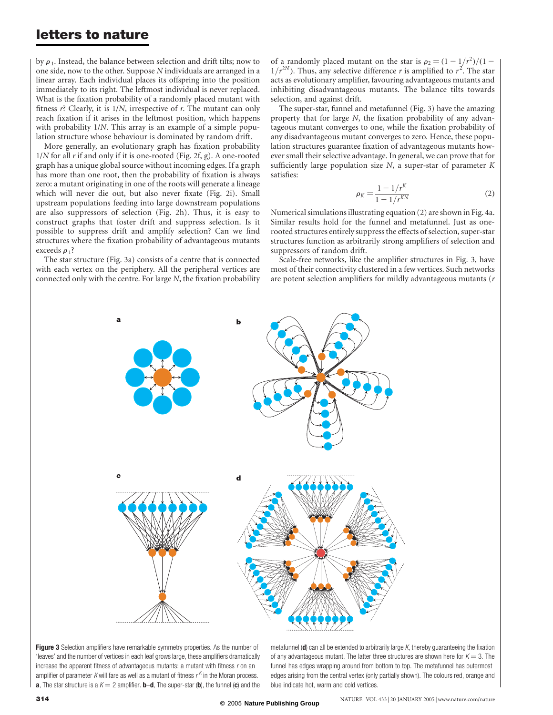by  $\rho_1$ . Instead, the balance between selection and drift tilts; now to one side, now to the other. Suppose N individuals are arranged in a linear array. Each individual places its offspring into the position immediately to its right. The leftmost individual is never replaced. What is the fixation probability of a randomly placed mutant with fitness  $r$ ? Clearly, it is  $1/N$ , irrespective of  $r$ . The mutant can only reach fixation if it arises in the leftmost position, which happens with probability  $1/N$ . This array is an example of a simple population structure whose behaviour is dominated by random drift.

More generally, an evolutionary graph has fixation probability  $1/N$  for all r if and only if it is one-rooted (Fig. 2f, g). A one-rooted graph has a unique global source without incoming edges. If a graph has more than one root, then the probability of fixation is always zero: a mutant originating in one of the roots will generate a lineage which will never die out, but also never fixate (Fig. 2i). Small upstream populations feeding into large downstream populations are also suppressors of selection (Fig. 2h). Thus, it is easy to construct graphs that foster drift and suppress selection. Is it possible to suppress drift and amplify selection? Can we find structures where the fixation probability of advantageous mutants exceeds  $\rho_1$ ?

The star structure (Fig. 3a) consists of a centre that is connected with each vertex on the periphery. All the peripheral vertices are connected only with the centre. For large N, the fixation probability

of a randomly placed mutant on the star is  $\rho_2 = \frac{1 - 1}{r^2}/\frac{1 - 1}{2}$  $1/r^{2N}$ ). Thus, any selective difference r is amplified to  $r^2$ . The star acts as evolutionary amplifier, favouring advantageous mutants and inhibiting disadvantageous mutants. The balance tilts towards selection, and against drift.

The super-star, funnel and metafunnel (Fig. 3) have the amazing property that for large N, the fixation probability of any advantageous mutant converges to one, while the fixation probability of any disadvantageous mutant converges to zero. Hence, these population structures guarantee fixation of advantageous mutants however small their selective advantage. In general, we can prove that for sufficiently large population size  $N$ , a super-star of parameter  $K$ satisfies:

$$
\rho_K = \frac{1 - 1/r^K}{1 - 1/r^{KN}}
$$
\n(2)

Numerical simulations illustrating equation (2) are shown in Fig. 4a. Similar results hold for the funnel and metafunnel. Just as onerooted structures entirely suppress the effects of selection, super-star structures function as arbitrarily strong amplifiers of selection and suppressors of random drift.

Scale-free networks, like the amplifier structures in Fig. 3, have most of their connectivity clustered in a few vertices. Such networks are potent selection amplifiers for mildly advantageous mutants (r



**Figure 3** Selection amplifiers have remarkable symmetry properties. As the number of 'leaves' and the number of vertices in each leaf grows large, these amplifiers dramatically increase the apparent fitness of advantageous mutants: a mutant with fitness  $r$  on an amplifier of parameter K will fare as well as a mutant of fitness  $r<sup>K</sup>$  in the Moran process. **a**, The star structure is a  $K = 2$  amplifier. **b**-**d**, The super-star (**b**), the funnel (**c**) and the

metafunnel ( $d$ ) can all be extended to arbitrarily large K, thereby guaranteeing the fixation of any advantageous mutant. The latter three structures are shown here for  $K = 3$ . The funnel has edges wrapping around from bottom to top. The metafunnel has outermost edges arising from the central vertex (only partially shown). The colours red, orange and blue indicate hot, warm and cold vertices.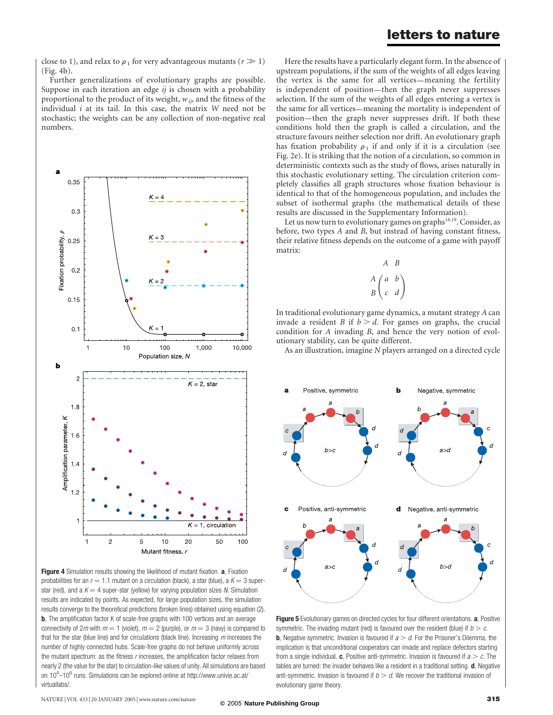close to 1), and relax to  $\rho_1$  for very advantageous mutants ( $r \gg 1$ ) (Fig. 4b).

Further generalizations of evolutionary graphs are possible. Suppose in each iteration an edge  $i$  is chosen with a probability proportional to the product of its weight,  $w_{ij}$  and the fitness of the individual  $i$  at its tail. In this case, the matrix  $W$  need not be stochastic; the weights can be any collection of non-negative real numbers.



Figure 4 Simulation results showing the likelihood of mutant fixation. a, Fixation probabilities for an  $r = 1.1$  mutant on a circulation (black), a star (blue), a  $K = 3$  superstar (red), and a  $K = 4$  super-star (yellow) for varying population sizes N. Simulation results are indicated by points. As expected, for large population sizes, the simulation results converge to the theoretical predictions (broken lines) obtained using equation (2). b, The amplification factor K of scale-free graphs with 100 vertices and an average connectivity of 2m with  $m = 1$  (violet),  $m = 2$  (purple), or  $m = 3$  (navy) is compared to that for the star (blue line) and for circulations (black line). Increasing  $m$  increases the number of highly connected hubs. Scale-free graphs do not behave uniformly across the mutant spectrum: as the fitness r increases, the amplification factor relaxes from nearly 2 (the value for the star) to circulation-like values of unity. All simulations are based on 10<sup>4</sup>–10<sup>6</sup> runs. Simulations can be explored online at http://www.univie.ac.at/ virtuallabs/.

Here the results have a particularly elegant form. In the absence of upstream populations, if the sum of the weights of all edges leaving the vertex is the same for all vertices—meaning the fertility is independent of position—then the graph never suppresses selection. If the sum of the weights of all edges entering a vertex is the same for all vertices—meaning the mortality is independent of position—then the graph never suppresses drift. If both these conditions hold then the graph is called a circulation, and the structure favours neither selection nor drift. An evolutionary graph has fixation probability  $\rho_1$  if and only if it is a circulation (see Fig. 2e). It is striking that the notion of a circulation, so common in deterministic contexts such as the study of flows, arises naturally in this stochastic evolutionary setting. The circulation criterion completely classifies all graph structures whose fixation behaviour is identical to that of the homogeneous population, and includes the subset of isothermal graphs (the mathematical details of these results are discussed in the Supplementary Information).

Let us now turn to evolutionary games on graphs<sup>18,19</sup>. Consider, as before, two types A and B, but instead of having constant fitness, their relative fitness depends on the outcome of a game with payoff matrix:

$$
\begin{array}{c}\nA & B \\
A & b \\
B & c & d\n\end{array}
$$

A B

In traditional evolutionary game dynamics, a mutant strategy A can invade a resident B if  $b > d$ . For games on graphs, the crucial condition for A invading B, and hence the very notion of evolutionary stability, can be quite different.

As an illustration, imagine N players arranged on a directed cycle